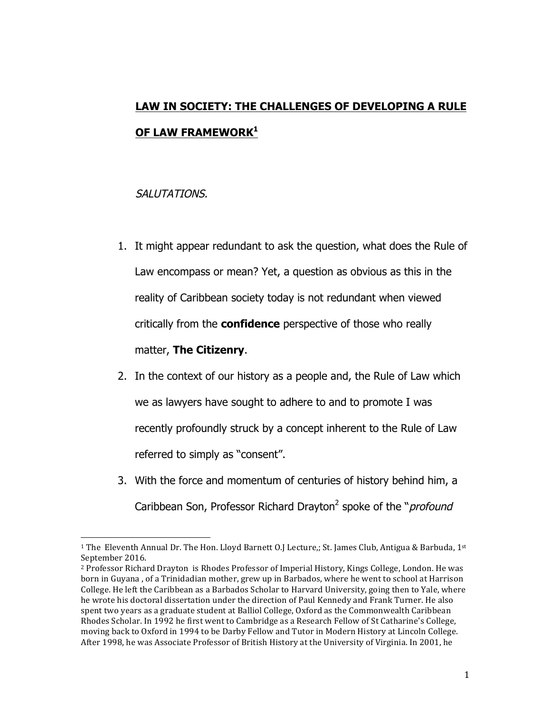## **LAW IN SOCIETY: THE CHALLENGES OF DEVELOPING A RULE OF LAW FRAMEWORK1**

## SALUTATIONS.

- 1. It might appear redundant to ask the question, what does the Rule of Law encompass or mean? Yet, a question as obvious as this in the reality of Caribbean society today is not redundant when viewed critically from the **confidence** perspective of those who really matter, **The Citizenry**.
- 2. In the context of our history as a people and, the Rule of Law which we as lawyers have sought to adhere to and to promote I was recently profoundly struck by a concept inherent to the Rule of Law referred to simply as "consent".
- 3. With the force and momentum of centuries of history behind him, a Caribbean Son, Professor Richard Drayton<sup>2</sup> spoke of the "*profound*

<sup>&</sup>lt;sup>1</sup> The Eleventh Annual Dr. The Hon. Lloyd Barnett O.J Lecture,; St. James Club, Antigua & Barbuda, 1<sup>st</sup> September 2016.

<sup>&</sup>lt;sup>2</sup> Professor Richard Drayton is Rhodes Professor of Imperial History, Kings College, London. He was born in Guyana, of a Trinidadian mother, grew up in Barbados, where he went to school at Harrison College. He left the Caribbean as a Barbados Scholar to Harvard University, going then to Yale, where he wrote his doctoral dissertation under the direction of Paul Kennedy and Frank Turner. He also spent two years as a graduate student at Balliol College, Oxford as the Commonwealth Caribbean Rhodes Scholar. In 1992 he first went to Cambridge as a Research Fellow of St Catharine's College, moving back to Oxford in 1994 to be Darby Fellow and Tutor in Modern History at Lincoln College. After 1998, he was Associate Professor of British History at the University of Virginia. In 2001, he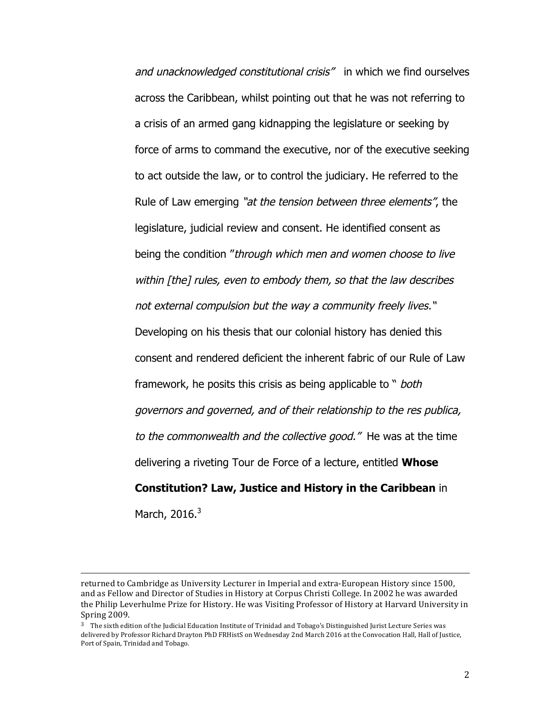and unacknowledged constitutional crisis" in which we find ourselves across the Caribbean, whilst pointing out that he was not referring to a crisis of an armed gang kidnapping the legislature or seeking by force of arms to command the executive, nor of the executive seeking to act outside the law, or to control the judiciary. He referred to the Rule of Law emerging "at the tension between three elements", the legislature, judicial review and consent. He identified consent as being the condition "through which men and women choose to live within [the] rules, even to embody them, so that the law describes not external compulsion but the way a community freely lives." Developing on his thesis that our colonial history has denied this consent and rendered deficient the inherent fabric of our Rule of Law framework, he posits this crisis as being applicable to " both governors and governed, and of their relationship to the res publica, to the commonwealth and the collective good." He was at the time delivering a riveting Tour de Force of a lecture, entitled **Whose Constitution? Law, Justice and History in the Caribbean** in March,  $2016.<sup>3</sup>$ 

<u> 1989 - Andrea Santa Alemania, amerikana amerikana amerikana amerikana amerikana amerikana amerikana amerikan</u>

returned to Cambridge as University Lecturer in Imperial and extra-European History since 1500, and as Fellow and Director of Studies in History at Corpus Christi College. In 2002 he was awarded the Philip Leverhulme Prize for History. He was Visiting Professor of History at Harvard University in Spring 2009.

 $3$  The sixth edition of the Judicial Education Institute of Trinidad and Tobago's Distinguished Jurist Lecture Series was delivered by Professor Richard Drayton PhD FRHistS on Wednesday 2nd March 2016 at the Convocation Hall, Hall of Justice, Port of Spain, Trinidad and Tobago.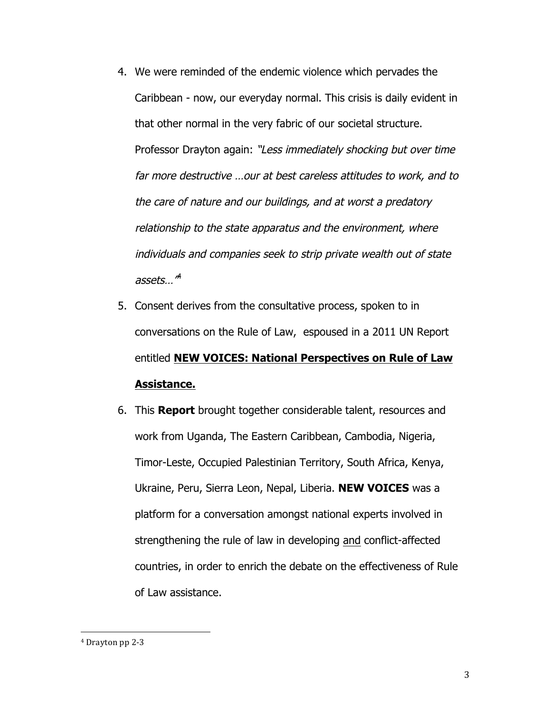- 4. We were reminded of the endemic violence which pervades the Caribbean - now, our everyday normal. This crisis is daily evident in that other normal in the very fabric of our societal structure. Professor Drayton again: "Less immediately shocking but over time far more destructive …our at best careless attitudes to work, and to the care of nature and our buildings, and at worst a predatory relationship to the state apparatus and the environment, where individuals and companies seek to strip private wealth out of state assets…"<sup>4</sup>
- 5. Consent derives from the consultative process, spoken to in conversations on the Rule of Law, espoused in a 2011 UN Report entitled **NEW VOICES: National Perspectives on Rule of Law Assistance.**
- 6. This **Report** brought together considerable talent, resources and work from Uganda, The Eastern Caribbean, Cambodia, Nigeria, Timor-Leste, Occupied Palestinian Territory, South Africa, Kenya, Ukraine, Peru, Sierra Leon, Nepal, Liberia. **NEW VOICES** was a platform for a conversation amongst national experts involved in strengthening the rule of law in developing and conflict-affected countries, in order to enrich the debate on the effectiveness of Rule of Law assistance.

<sup>&</sup>lt;sup>4</sup> Drayton pp 2-3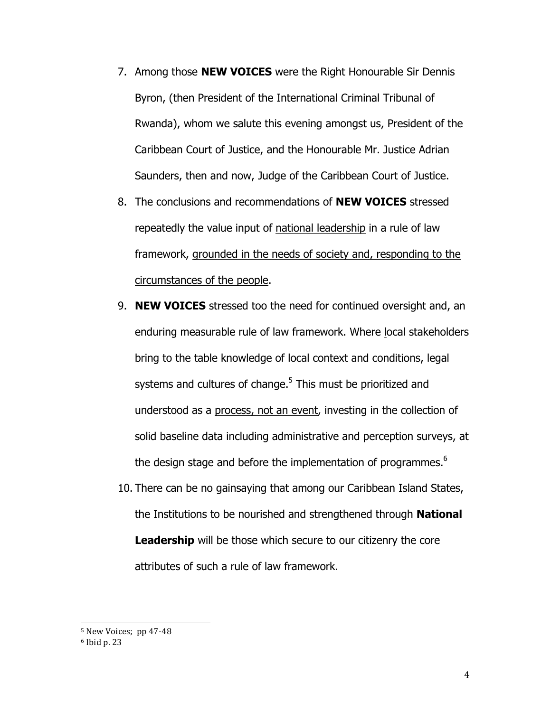- 7. Among those **NEW VOICES** were the Right Honourable Sir Dennis Byron, (then President of the International Criminal Tribunal of Rwanda), whom we salute this evening amongst us, President of the Caribbean Court of Justice, and the Honourable Mr. Justice Adrian Saunders, then and now, Judge of the Caribbean Court of Justice.
- 8. The conclusions and recommendations of **NEW VOICES** stressed repeatedly the value input of national leadership in a rule of law framework, grounded in the needs of society and, responding to the circumstances of the people.
- 9. **NEW VOICES** stressed too the need for continued oversight and, an enduring measurable rule of law framework. Where local stakeholders bring to the table knowledge of local context and conditions, legal systems and cultures of change.<sup>5</sup> This must be prioritized and understood as a process, not an event, investing in the collection of solid baseline data including administrative and perception surveys, at the design stage and before the implementation of programmes. $6$
- 10. There can be no gainsaying that among our Caribbean Island States, the Institutions to be nourished and strengthened through **National Leadership** will be those which secure to our citizenry the core attributes of such a rule of law framework.

 $5$  New Voices; pp 47-48

 $6$  Ibid p. 23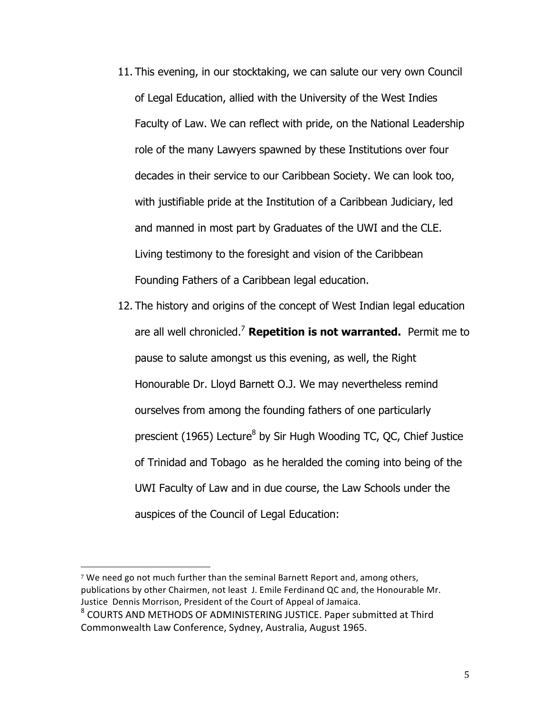- 11. This evening, in our stocktaking, we can salute our very own Council of Legal Education, allied with the University of the West Indies Faculty of Law. We can reflect with pride, on the National Leadership role of the many Lawyers spawned by these Institutions over four decades in their service to our Caribbean Society. We can look too, with justifiable pride at the Institution of a Caribbean Judiciary, led and manned in most part by Graduates of the UWI and the CLE. Living testimony to the foresight and vision of the Caribbean Founding Fathers of a Caribbean legal education.
- 12. The history and origins of the concept of West Indian legal education are all well chronicled.<sup>7</sup> **Repetition is not warranted.** Permit me to pause to salute amongst us this evening, as well, the Right Honourable Dr. Lloyd Barnett O.J. We may nevertheless remind ourselves from among the founding fathers of one particularly prescient (1965) Lecture<sup>8</sup> by Sir Hugh Wooding TC, QC, Chief Justice of Trinidad and Tobago as he heralded the coming into being of the UWI Faculty of Law and in due course, the Law Schools under the auspices of the Council of Legal Education:

 $7$  We need go not much further than the seminal Barnett Report and, among others, publications by other Chairmen, not least J. Emile Ferdinand QC and, the Honourable Mr. Justice Dennis Morrison, President of the Court of Appeal of Jamaica.

<sup>&</sup>lt;sup>8</sup> COURTS AND METHODS OF ADMINISTERING JUSTICE. Paper submitted at Third Commonwealth Law Conference, Sydney, Australia, August 1965.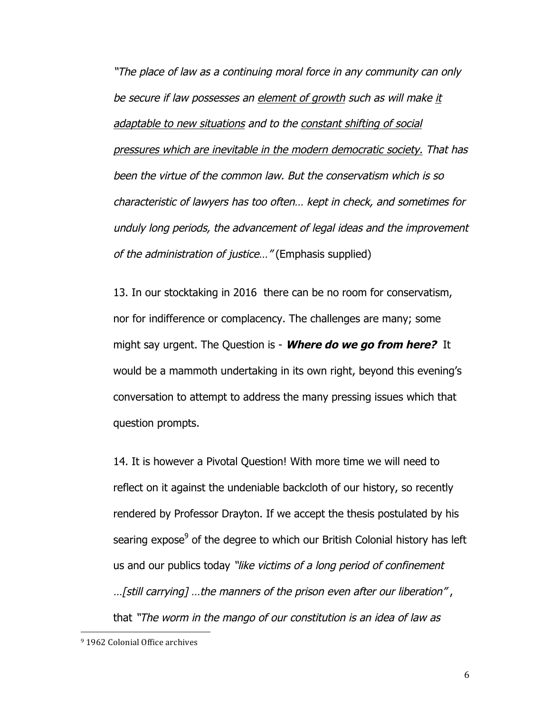"The place of law as a continuing moral force in any community can only be secure if law possesses an element of growth such as will make it adaptable to new situations and to the constant shifting of social pressures which are inevitable in the modern democratic society. That has been the virtue of the common law. But the conservatism which is so characteristic of lawyers has too often… kept in check, and sometimes for unduly long periods, the advancement of legal ideas and the improvement of the administration of justice…" (Emphasis supplied)

13. In our stocktaking in 2016 there can be no room for conservatism, nor for indifference or complacency. The challenges are many; some might say urgent. The Question is - **Where do we go from here?** It would be a mammoth undertaking in its own right, beyond this evening's conversation to attempt to address the many pressing issues which that question prompts.

14. It is however a Pivotal Question! With more time we will need to reflect on it against the undeniable backcloth of our history, so recently rendered by Professor Drayton. If we accept the thesis postulated by his searing expose $9$  of the degree to which our British Colonial history has left us and our publics today "like victims of a long period of confinement

…[still carrying] …the manners of the prison even after our liberation" , that "The worm in the mango of our constitution is an idea of law as

<sup>&</sup>lt;sup>9</sup> 1962 Colonial Office archives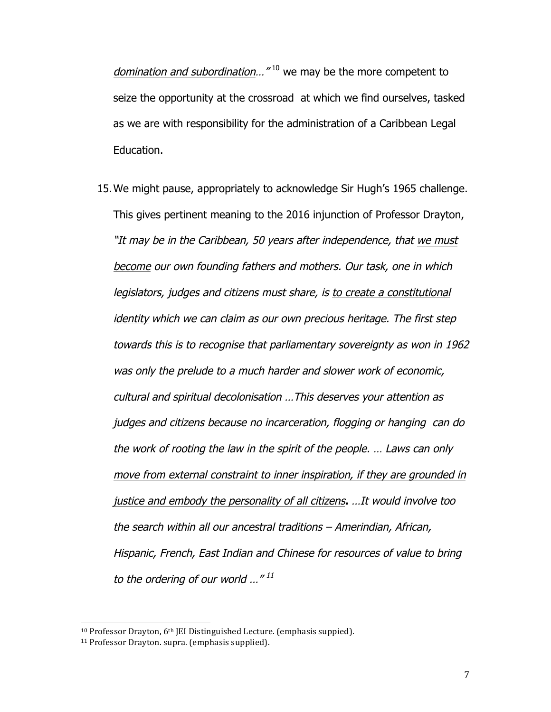domination and subordination...  $^{\prime\prime}$ <sup>10</sup> we may be the more competent to seize the opportunity at the crossroad at which we find ourselves, tasked as we are with responsibility for the administration of a Caribbean Legal Education.

15.We might pause, appropriately to acknowledge Sir Hugh's 1965 challenge. This gives pertinent meaning to the 2016 injunction of Professor Drayton, "It may be in the Caribbean, 50 years after independence, that we must become our own founding fathers and mothers. Our task, one in which legislators, judges and citizens must share, is to create a constitutional identity which we can claim as our own precious heritage. The first step towards this is to recognise that parliamentary sovereignty as won in 1962 was only the prelude to a much harder and slower work of economic, cultural and spiritual decolonisation …This deserves your attention as judges and citizens because no incarceration, flogging or hanging can do the work of rooting the law in the spirit of the people. … Laws can only move from external constraint to inner inspiration, if they are grounded in justice and embody the personality of all citizens**.** …It would involve too the search within all our ancestral traditions – Amerindian, African, Hispanic, French, East Indian and Chinese for resources of value to bring to the ordering of our world  $\ldots$ "<sup>11</sup>

 $10$  Professor Drayton,  $6<sup>th</sup>$  [EI Distinguished Lecture. (emphasis suppied).

<sup>&</sup>lt;sup>11</sup> Professor Drayton. supra. (emphasis supplied).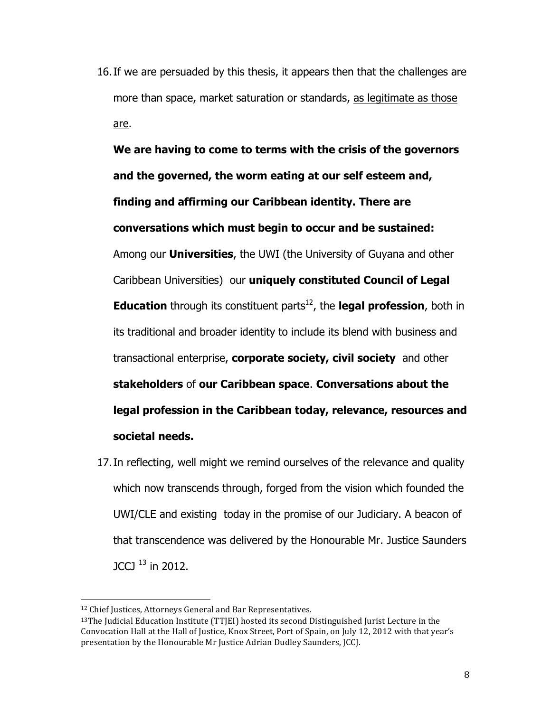16.If we are persuaded by this thesis, it appears then that the challenges are more than space, market saturation or standards, as legitimate as those are.

**We are having to come to terms with the crisis of the governors and the governed, the worm eating at our self esteem and, finding and affirming our Caribbean identity. There are conversations which must begin to occur and be sustained:** Among our **Universities**, the UWI (the University of Guyana and other Caribbean Universities) our **uniquely constituted Council of Legal Education** through its constituent parts<sup>12</sup>, the **legal profession**, both in its traditional and broader identity to include its blend with business and transactional enterprise, **corporate society, civil society** and other **stakeholders** of **our Caribbean space**. **Conversations about the legal profession in the Caribbean today, relevance, resources and societal needs.**

17.In reflecting, well might we remind ourselves of the relevance and quality which now transcends through, forged from the vision which founded the UWI/CLE and existing today in the promise of our Judiciary. A beacon of that transcendence was delivered by the Honourable Mr. Justice Saunders JCCJ 13 in 2012.

<sup>&</sup>lt;sup>12</sup> Chief Justices, Attorneys General and Bar Representatives.

 $13$ The Judicial Education Institute (TTJEI) hosted its second Distinguished Jurist Lecture in the Convocation Hall at the Hall of Justice, Knox Street, Port of Spain, on July 12, 2012 with that year's presentation by the Honourable Mr Justice Adrian Dudley Saunders, JCCJ.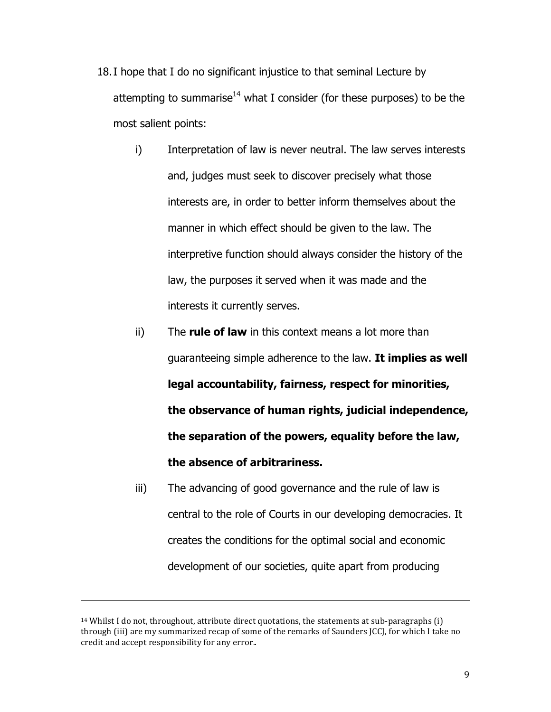- 18.I hope that I do no significant injustice to that seminal Lecture by attempting to summarise<sup>14</sup> what I consider (for these purposes) to be the most salient points:
	- i) Interpretation of law is never neutral. The law serves interests and, judges must seek to discover precisely what those interests are, in order to better inform themselves about the manner in which effect should be given to the law. The interpretive function should always consider the history of the law, the purposes it served when it was made and the interests it currently serves.
	- ii) The **rule of law** in this context means a lot more than guaranteeing simple adherence to the law. **It implies as well legal accountability, fairness, respect for minorities, the observance of human rights, judicial independence, the separation of the powers, equality before the law, the absence of arbitrariness.**
	- iii) The advancing of good governance and the rule of law is central to the role of Courts in our developing democracies. It creates the conditions for the optimal social and economic development of our societies, quite apart from producing

<u> 1989 - Andrea Santa Andrea Andrea Andrea Andrea Andrea Andrea Andrea Andrea Andrea Andrea Andrea Andrea Andr</u>

 $14$  Whilst I do not, throughout, attribute direct quotations, the statements at sub-paragraphs  $(i)$ through (iii) are my summarized recap of some of the remarks of Saunders [CC], for which I take no credit and accept responsibility for any error..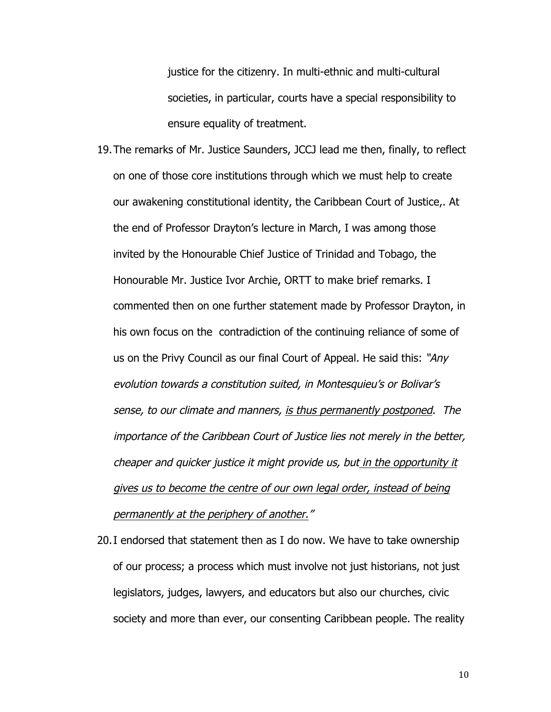justice for the citizenry. In multi-ethnic and multi-cultural societies, in particular, courts have a special responsibility to ensure equality of treatment.

- 19.The remarks of Mr. Justice Saunders, JCCJ lead me then, finally, to reflect on one of those core institutions through which we must help to create our awakening constitutional identity, the Caribbean Court of Justice,. At the end of Professor Drayton's lecture in March, I was among those invited by the Honourable Chief Justice of Trinidad and Tobago, the Honourable Mr. Justice Ivor Archie, ORTT to make brief remarks. I commented then on one further statement made by Professor Drayton, in his own focus on the contradiction of the continuing reliance of some of us on the Privy Council as our final Court of Appeal. He said this: "Any evolution towards a constitution suited, in Montesquieu's or Bolivar's sense, to our climate and manners, is thus permanently postponed. The importance of the Caribbean Court of Justice lies not merely in the better, cheaper and quicker justice it might provide us, but in the opportunity it gives us to become the centre of our own legal order, instead of being permanently at the periphery of another."
- 20.I endorsed that statement then as I do now. We have to take ownership of our process; a process which must involve not just historians, not just legislators, judges, lawyers, and educators but also our churches, civic society and more than ever, our consenting Caribbean people. The reality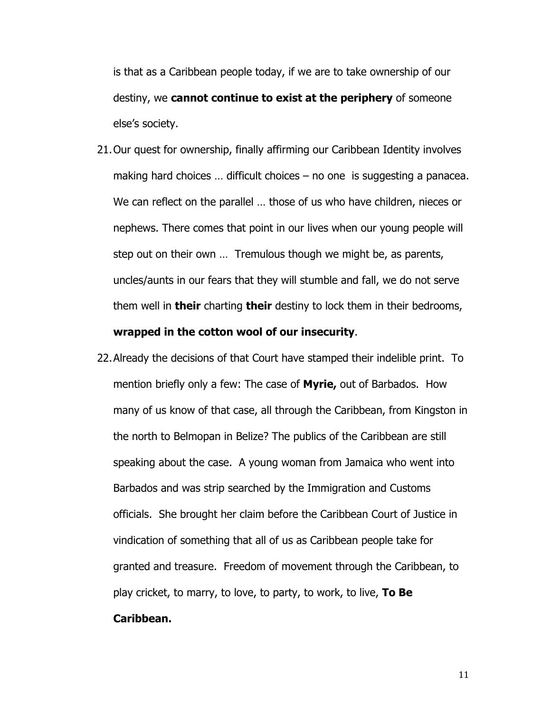is that as a Caribbean people today, if we are to take ownership of our destiny, we **cannot continue to exist at the periphery** of someone else's society.

- 21.Our quest for ownership, finally affirming our Caribbean Identity involves making hard choices … difficult choices – no one is suggesting a panacea. We can reflect on the parallel … those of us who have children, nieces or nephews. There comes that point in our lives when our young people will step out on their own … Tremulous though we might be, as parents, uncles/aunts in our fears that they will stumble and fall, we do not serve them well in **their** charting **their** destiny to lock them in their bedrooms, **wrapped in the cotton wool of our insecurity**.
- 22.Already the decisions of that Court have stamped their indelible print. To mention briefly only a few: The case of **Myrie,** out of Barbados. How many of us know of that case, all through the Caribbean, from Kingston in the north to Belmopan in Belize? The publics of the Caribbean are still speaking about the case. A young woman from Jamaica who went into Barbados and was strip searched by the Immigration and Customs officials. She brought her claim before the Caribbean Court of Justice in vindication of something that all of us as Caribbean people take for granted and treasure. Freedom of movement through the Caribbean, to play cricket, to marry, to love, to party, to work, to live, **To Be Caribbean.**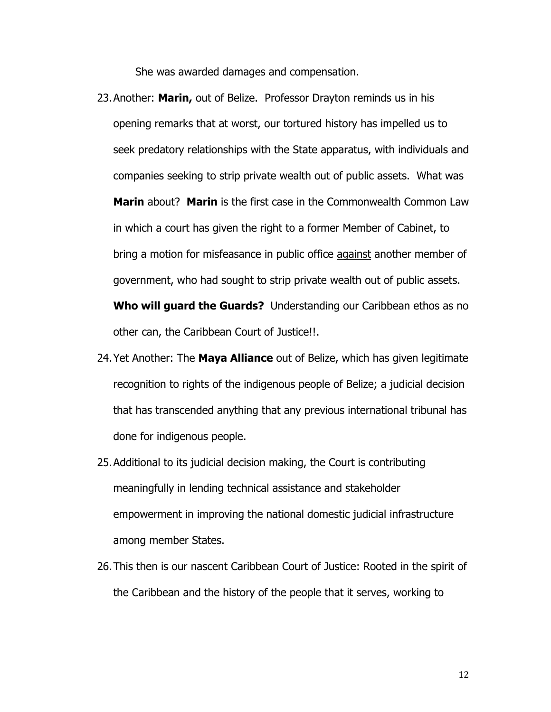She was awarded damages and compensation.

- 23.Another: **Marin,** out of Belize. Professor Drayton reminds us in his opening remarks that at worst, our tortured history has impelled us to seek predatory relationships with the State apparatus, with individuals and companies seeking to strip private wealth out of public assets. What was **Marin** about? **Marin** is the first case in the Commonwealth Common Law in which a court has given the right to a former Member of Cabinet, to bring a motion for misfeasance in public office against another member of government, who had sought to strip private wealth out of public assets. **Who will guard the Guards?** Understanding our Caribbean ethos as no other can, the Caribbean Court of Justice!!.
- 24.Yet Another: The **Maya Alliance** out of Belize, which has given legitimate recognition to rights of the indigenous people of Belize; a judicial decision that has transcended anything that any previous international tribunal has done for indigenous people.
- 25.Additional to its judicial decision making, the Court is contributing meaningfully in lending technical assistance and stakeholder empowerment in improving the national domestic judicial infrastructure among member States.
- 26.This then is our nascent Caribbean Court of Justice: Rooted in the spirit of the Caribbean and the history of the people that it serves, working to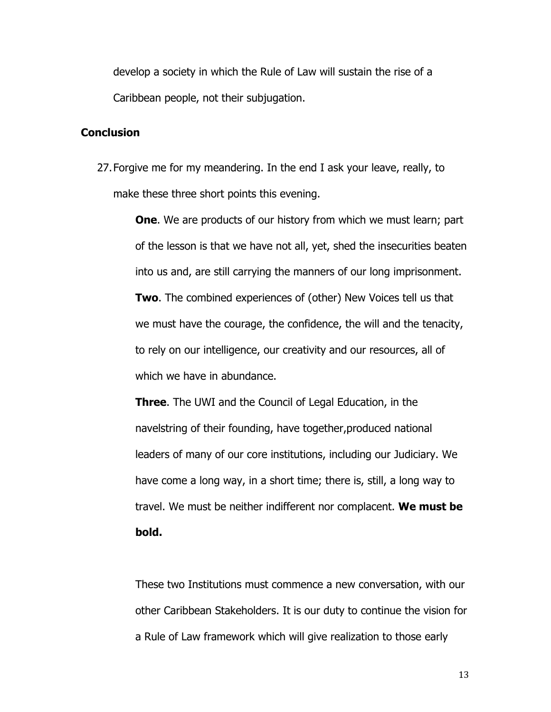develop a society in which the Rule of Law will sustain the rise of a Caribbean people, not their subjugation.

## **Conclusion**

27.Forgive me for my meandering. In the end I ask your leave, really, to make these three short points this evening.

> **One.** We are products of our history from which we must learn; part of the lesson is that we have not all, yet, shed the insecurities beaten into us and, are still carrying the manners of our long imprisonment. **Two**. The combined experiences of (other) New Voices tell us that we must have the courage, the confidence, the will and the tenacity, to rely on our intelligence, our creativity and our resources, all of which we have in abundance.

**Three**. The UWI and the Council of Legal Education, in the navelstring of their founding, have together,produced national leaders of many of our core institutions, including our Judiciary. We have come a long way, in a short time; there is, still, a long way to travel. We must be neither indifferent nor complacent. **We must be bold.** 

These two Institutions must commence a new conversation, with our other Caribbean Stakeholders. It is our duty to continue the vision for a Rule of Law framework which will give realization to those early